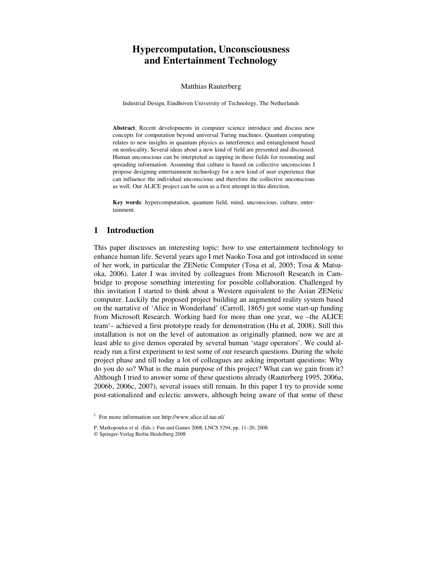# **Hypercomputation, Unconsciousness and Entertainment Technology**

### Matthias Rauterberg

Industrial Design, Eindhoven University of Technology, The Netherlands

**Abstract**. Recent developments in computer science introduce and discuss new concepts for computation beyond universal Turing machines. Quantum computing relates to new insights in quantum physics as interference and entanglement based on nonlocality. Several ideas about a new kind of field are presented and discussed. Human unconscious can be interpreted as tapping in these fields for resonating and spreading information. Assuming that culture is based on collective unconscious I propose designing entertainment technology for a new kind of user experience that can influence the individual unconscious and therefore the collective unconscious as well. Our ALICE project can be seen as a first attempt in this direction.

**Key words**: hypercomputation, quantum field, mind, unconscious, culture, entertainment.

## **1 Introduction**

This paper discusses an interesting topic: how to use entertainment technology to enhance human life. Several years ago I met Naoko Tosa and got introduced in some of her work, in particular the ZENetic Computer (Tosa et al, 2005; Tosa & Matsuoka, 2006). Later I was invited by colleagues from Microsoft Research in Cambridge to propose something interesting for possible collaboration. Challenged by this invitation I started to think about a Western equivalent to the Asian ZENetic computer. Luckily the proposed project building an augmented reality system based on the narrative of 'Alice in Wonderland' (Carroll, 1865) got some start-up funding from Microsoft Research. Working hard for more than one year, we –the ALICE team<sup>1</sup>– achieved a first prototype ready for demonstration (Hu et al, 2008). Still this installation is not on the level of automation as originally planned, now we are at least able to give demos operated by several human 'stage operators'. We could already run a first experiment to test some of our research questions. During the whole project phase and till today a lot of colleagues are asking important questions: Why do you do so? What is the main purpose of this project? What can we gain from it? Although I tried to answer some of these questions already (Rauterberg 1995, 2006a, 2006b, 2006c, 2007), several issues still remain. In this paper I try to provide some post-rationalized and eclectic answers, although being aware of that some of these

<sup>&</sup>lt;sup>1</sup> For more information see http://www.alice.id.tue.nl/

P. Markopoulos et al. (Eds.): Fun and Games 2008, LNCS 5294, pp. 11–20, 2008.

Springer-Verlag Berlin Heidelberg 2008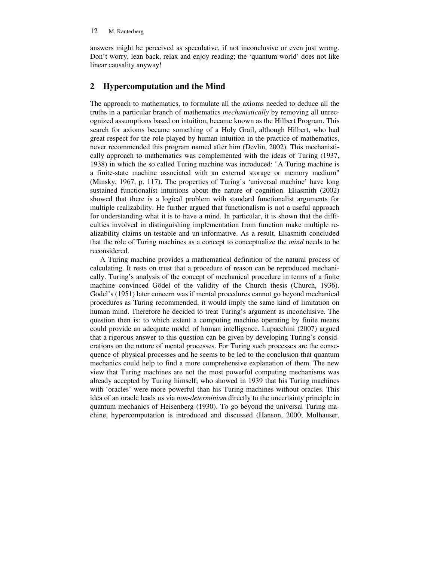answers might be perceived as speculative, if not inconclusive or even just wrong. Don't worry, lean back, relax and enjoy reading; the 'quantum world' does not like linear causality anyway!

## **2 Hypercomputation and the Mind**

The approach to mathematics, to formulate all the axioms needed to deduce all the truths in a particular branch of mathematics *mechanistically* by removing all unrecognized assumptions based on intuition, became known as the Hilbert Program. This search for axioms became something of a Holy Grail, although Hilbert, who had great respect for the role played by human intuition in the practice of mathematics, never recommended this program named after him (Devlin, 2002). This mechanistically approach to mathematics was complemented with the ideas of Turing (1937, 1938) in which the so called Turing machine was introduced: "A Turing machine is a finite-state machine associated with an external storage or memory medium" (Minsky, 1967, p. 117). The properties of Turing's 'universal machine' have long sustained functionalist intuitions about the nature of cognition. Eliasmith (2002) showed that there is a logical problem with standard functionalist arguments for multiple realizability. He further argued that functionalism is not a useful approach for understanding what it is to have a mind. In particular, it is shown that the difficulties involved in distinguishing implementation from function make multiple realizability claims un-testable and un-informative. As a result, Eliasmith concluded that the role of Turing machines as a concept to conceptualize the *mind* needs to be reconsidered.

A Turing machine provides a mathematical definition of the natural process of calculating. It rests on trust that a procedure of reason can be reproduced mechanically. Turing's analysis of the concept of mechanical procedure in terms of a finite machine convinced Gödel of the validity of the Church thesis (Church, 1936). Gödel's (1951) later concern was if mental procedures cannot go beyond mechanical procedures as Turing recommended, it would imply the same kind of limitation on human mind. Therefore he decided to treat Turing's argument as inconclusive. The question then is: to which extent a computing machine operating by finite means could provide an adequate model of human intelligence. Lupacchini (2007) argued that a rigorous answer to this question can be given by developing Turing's considerations on the nature of mental processes. For Turing such processes are the consequence of physical processes and he seems to be led to the conclusion that quantum mechanics could help to find a more comprehensive explanation of them. The new view that Turing machines are not the most powerful computing mechanisms was already accepted by Turing himself, who showed in 1939 that his Turing machines with 'oracles' were more powerful than his Turing machines without oracles. This idea of an oracle leads us via *non-determinism* directly to the uncertainty principle in quantum mechanics of Heisenberg (1930). To go beyond the universal Turing machine, hypercomputation is introduced and discussed (Hanson, 2000; Mulhauser,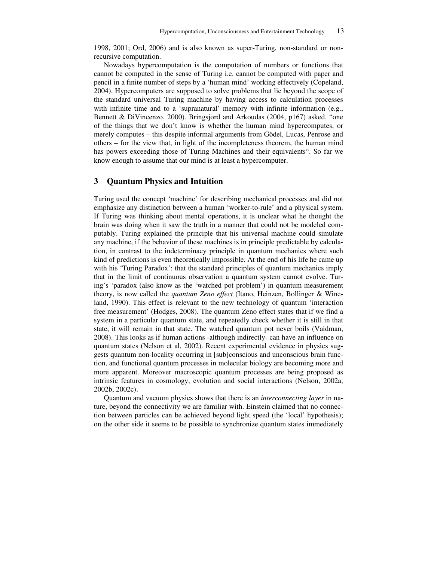1998, 2001; Ord, 2006) and is also known as super-Turing, non-standard or nonrecursive computation.

Nowadays hypercomputation is the computation of numbers or functions that cannot be computed in the sense of Turing i.e. cannot be computed with paper and pencil in a finite number of steps by a 'human mind' working effectively (Copeland, 2004). Hypercomputers are supposed to solve problems that lie beyond the scope of the standard universal Turing machine by having access to calculation processes with infinite time and to a 'supranatural' memory with infinite information (e.g., Bennett & DiVincenzo, 2000). Bringsjord and Arkoudas (2004, p167) asked, "one of the things that we don't know is whether the human mind hypercomputes, or merely computes – this despite informal arguments from Gödel, Lucas, Penrose and others – for the view that, in light of the incompleteness theorem, the human mind has powers exceeding those of Turing Machines and their equivalents". So far we know enough to assume that our mind is at least a hypercomputer.

## **3 Quantum Physics and Intuition**

Turing used the concept 'machine' for describing mechanical processes and did not emphasize any distinction between a human 'worker-to-rule' and a physical system. If Turing was thinking about mental operations, it is unclear what he thought the brain was doing when it saw the truth in a manner that could not be modeled computably. Turing explained the principle that his universal machine could simulate any machine, if the behavior of these machines is in principle predictable by calculation, in contrast to the indeterminacy principle in quantum mechanics where such kind of predictions is even theoretically impossible. At the end of his life he came up with his 'Turing Paradox': that the standard principles of quantum mechanics imply that in the limit of continuous observation a quantum system cannot evolve. Turing's 'paradox (also know as the 'watched pot problem') in quantum measurement theory, is now called the *quantum Zeno effect* (Itano, Heinzen, Bollinger & Wineland, 1990). This effect is relevant to the new technology of quantum 'interaction free measurement' (Hodges, 2008). The quantum Zeno effect states that if we find a system in a particular quantum state, and repeatedly check whether it is still in that state, it will remain in that state. The watched quantum pot never boils (Vaidman, 2008). This looks as if human actions -although indirectly- can have an influence on quantum states (Nelson et al, 2002). Recent experimental evidence in physics suggests quantum non-locality occurring in [sub]conscious and unconscious brain function, and functional quantum processes in molecular biology are becoming more and more apparent. Moreover macroscopic quantum processes are being proposed as intrinsic features in cosmology, evolution and social interactions (Nelson, 2002a, 2002b, 2002c).

Quantum and vacuum physics shows that there is an *interconnecting layer* in nature, beyond the connectivity we are familiar with. Einstein claimed that no connection between particles can be achieved beyond light speed (the 'local' hypothesis); on the other side it seems to be possible to synchronize quantum states immediately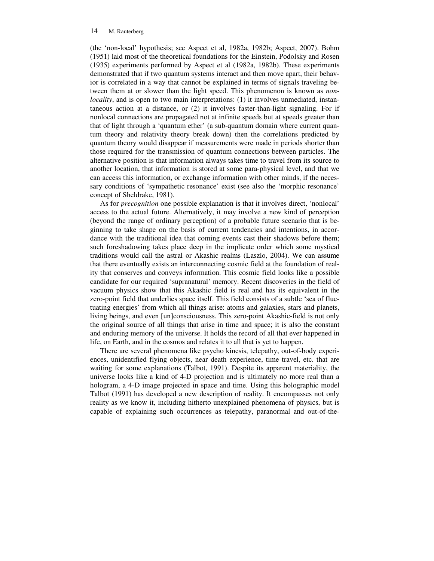(the 'non-local' hypothesis; see Aspect et al, 1982a, 1982b; Aspect, 2007). Bohm (1951) laid most of the theoretical foundations for the Einstein, Podolsky and Rosen (1935) experiments performed by Aspect et al (1982a, 1982b). These experiments demonstrated that if two quantum systems interact and then move apart, their behavior is correlated in a way that cannot be explained in terms of signals traveling between them at or slower than the light speed. This phenomenon is known as *nonlocality*, and is open to two main interpretations: (1) it involves unmediated, instantaneous action at a distance, or (2) it involves faster-than-light signaling. For if nonlocal connections are propagated not at infinite speeds but at speeds greater than that of light through a 'quantum ether' (a sub-quantum domain where current quantum theory and relativity theory break down) then the correlations predicted by quantum theory would disappear if measurements were made in periods shorter than those required for the transmission of quantum connections between particles. The alternative position is that information always takes time to travel from its source to another location, that information is stored at some para-physical level, and that we can access this information, or exchange information with other minds, if the necessary conditions of 'sympathetic resonance' exist (see also the 'morphic resonance' concept of Sheldrake, 1981).

As for *precognition* one possible explanation is that it involves direct, 'nonlocal' access to the actual future. Alternatively, it may involve a new kind of perception (beyond the range of ordinary perception) of a probable future scenario that is beginning to take shape on the basis of current tendencies and intentions, in accordance with the traditional idea that coming events cast their shadows before them; such foreshadowing takes place deep in the implicate order which some mystical traditions would call the astral or Akashic realms (Laszlo, 2004). We can assume that there eventually exists an interconnecting cosmic field at the foundation of reality that conserves and conveys information. This cosmic field looks like a possible candidate for our required 'supranatural' memory. Recent discoveries in the field of vacuum physics show that this Akashic field is real and has its equivalent in the zero-point field that underlies space itself. This field consists of a subtle 'sea of fluctuating energies' from which all things arise: atoms and galaxies, stars and planets, living beings, and even [un]consciousness. This zero-point Akashic-field is not only the original source of all things that arise in time and space; it is also the constant and enduring memory of the universe. It holds the record of all that ever happened in life, on Earth, and in the cosmos and relates it to all that is yet to happen.

There are several phenomena like psycho kinesis, telepathy, out-of-body experiences, unidentified flying objects, near death experience, time travel, etc. that are waiting for some explanations (Talbot, 1991). Despite its apparent materiality, the universe looks like a kind of 4-D projection and is ultimately no more real than a hologram, a 4-D image projected in space and time. Using this holographic model Talbot (1991) has developed a new description of reality. It encompasses not only reality as we know it, including hitherto unexplained phenomena of physics, but is capable of explaining such occurrences as telepathy, paranormal and out-of-the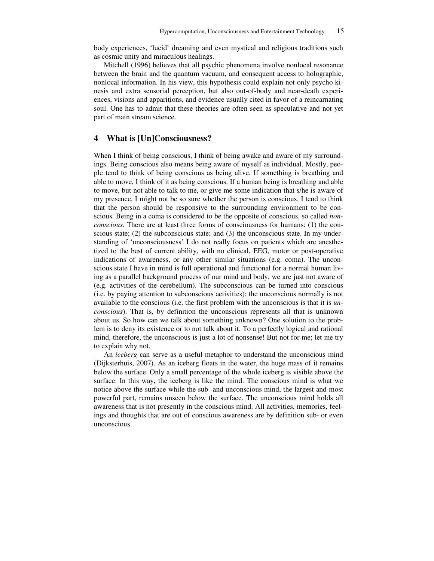body experiences, 'lucid' dreaming and even mystical and religious traditions such as cosmic unity and miraculous healings.

Mitchell (1996) believes that all psychic phenomena involve nonlocal resonance between the brain and the quantum vacuum, and consequent access to holographic, nonlocal information. In his view, this hypothesis could explain not only psycho kinesis and extra sensorial perception, but also out-of-body and near-death experiences, visions and apparitions, and evidence usually cited in favor of a reincarnating soul. One has to admit that these theories are often seen as speculative and not yet part of main stream science.

## **4 What is [Un]Consciousness?**

When I think of being conscious, I think of being awake and aware of my surroundings. Being conscious also means being aware of myself as individual. Mostly, people tend to think of being conscious as being alive. If something is breathing and able to move, I think of it as being conscious. If a human being is breathing and able to move, but not able to talk to me, or give me some indication that s/he is aware of my presence, I might not be so sure whether the person is conscious. I tend to think that the person should be responsive to the surrounding environment to be conscious. Being in a coma is considered to be the opposite of conscious, so called *nonconscious*. There are at least three forms of consciousness for humans: (1) the conscious state; (2) the subconscious state; and  $(3)$  the unconscious state. In my understanding of 'unconsciousness' I do not really focus on patients which are anesthetized to the best of current ability, with no clinical, EEG, motor or post-operative indications of awareness, or any other similar situations (e.g. coma). The unconscious state I have in mind is full operational and functional for a normal human living as a parallel background process of our mind and body, we are just not aware of (e.g. activities of the cerebellum). The subconscious can be turned into conscious (i.e. by paying attention to subconscious activities); the unconscious normally is not available to the conscious (i.e. the first problem with the unconscious is that it is *unconscious*). That is, by definition the unconscious represents all that is unknown about us. So how can we talk about something unknown? One solution to the problem is to deny its existence or to not talk about it. To a perfectly logical and rational mind, therefore, the unconscious is just a lot of nonsense! But not for me; let me try to explain why not.

An *iceberg* can serve as a useful metaphor to understand the unconscious mind (Dijksterhuis, 2007). As an iceberg floats in the water, the huge mass of it remains below the surface. Only a small percentage of the whole iceberg is visible above the surface. In this way, the iceberg is like the mind. The conscious mind is what we notice above the surface while the sub- and unconscious mind, the largest and most powerful part, remains unseen below the surface. The unconscious mind holds all awareness that is not presently in the conscious mind. All activities, memories, feelings and thoughts that are out of conscious awareness are by definition sub- or even unconscious.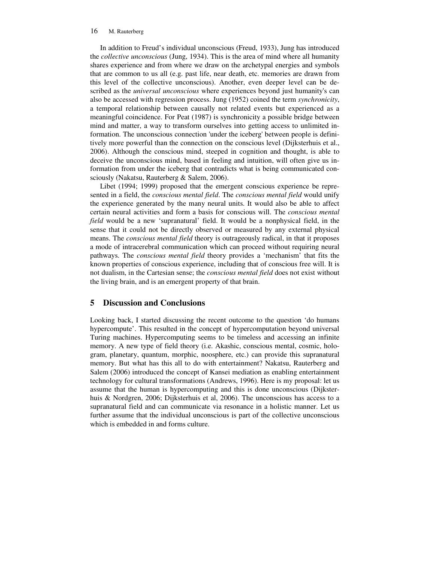In addition to Freud's individual unconscious (Freud, 1933), Jung has introduced the *collective unconscious* (Jung, 1934). This is the area of mind where all humanity shares experience and from where we draw on the archetypal energies and symbols that are common to us all (e.g. past life, near death, etc. memories are drawn from this level of the collective unconscious). Another, even deeper level can be described as the *universal unconscious* where experiences beyond just humanity's can also be accessed with regression process. Jung (1952) coined the term *synchronicity*, a temporal relationship between causally not related events but experienced as a meaningful coincidence. For Peat (1987) is synchronicity a possible bridge between mind and matter, a way to transform ourselves into getting access to unlimited information. The unconscious connection 'under the iceberg' between people is definitively more powerful than the connection on the conscious level (Dijksterhuis et al., 2006). Although the conscious mind, steeped in cognition and thought, is able to deceive the unconscious mind, based in feeling and intuition, will often give us information from under the iceberg that contradicts what is being communicated consciously (Nakatsu, Rauterberg & Salem, 2006).

Libet (1994; 1999) proposed that the emergent conscious experience be represented in a field, the *conscious mental field*. The *conscious mental field* would unify the experience generated by the many neural units. It would also be able to affect certain neural activities and form a basis for conscious will. The *conscious mental field* would be a new 'supranatural' field. It would be a nonphysical field, in the sense that it could not be directly observed or measured by any external physical means. The *conscious mental field* theory is outrageously radical, in that it proposes a mode of intracerebral communication which can proceed without requiring neural pathways. The *conscious mental field* theory provides a 'mechanism' that fits the known properties of conscious experience, including that of conscious free will. It is not dualism, in the Cartesian sense; the *conscious mental field* does not exist without the living brain, and is an emergent property of that brain.

## **5 Discussion and Conclusions**

Looking back, I started discussing the recent outcome to the question 'do humans hypercompute'. This resulted in the concept of hypercomputation beyond universal Turing machines. Hypercomputing seems to be timeless and accessing an infinite memory. A new type of field theory (i.e. Akashic, conscious mental, cosmic, hologram, planetary, quantum, morphic, noosphere, etc.) can provide this supranatural memory. But what has this all to do with entertainment? Nakatsu, Rauterberg and Salem (2006) introduced the concept of Kansei mediation as enabling entertainment technology for cultural transformations (Andrews, 1996). Here is my proposal: let us assume that the human is hypercomputing and this is done unconscious (Dijksterhuis & Nordgren, 2006; Dijksterhuis et al, 2006). The unconscious has access to a supranatural field and can communicate via resonance in a holistic manner. Let us further assume that the individual unconscious is part of the collective unconscious which is embedded in and forms culture.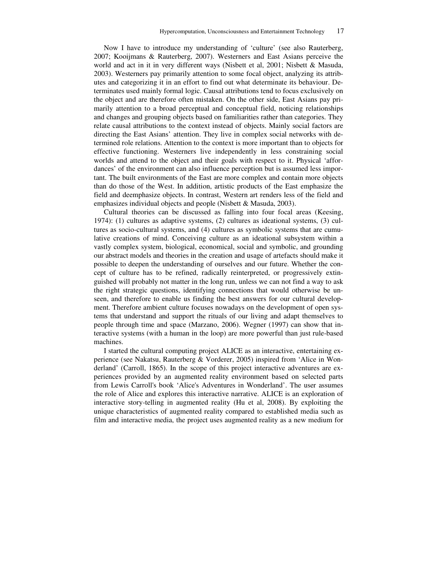Now I have to introduce my understanding of 'culture' (see also Rauterberg, 2007; Kooijmans & Rauterberg, 2007). Westerners and East Asians perceive the world and act in it in very different ways (Nisbett et al, 2001; Nisbett & Masuda, 2003). Westerners pay primarily attention to some focal object, analyzing its attributes and categorizing it in an effort to find out what determinate its behaviour. Determinates used mainly formal logic. Causal attributions tend to focus exclusively on the object and are therefore often mistaken. On the other side, East Asians pay primarily attention to a broad perceptual and conceptual field, noticing relationships and changes and grouping objects based on familiarities rather than categories. They relate causal attributions to the context instead of objects. Mainly social factors are directing the East Asians' attention. They live in complex social networks with determined role relations. Attention to the context is more important than to objects for effective functioning. Westerners live independently in less constraining social worlds and attend to the object and their goals with respect to it. Physical 'affordances' of the environment can also influence perception but is assumed less important. The built environments of the East are more complex and contain more objects than do those of the West. In addition, artistic products of the East emphasize the field and deemphasize objects. In contrast, Western art renders less of the field and emphasizes individual objects and people (Nisbett & Masuda, 2003).

Cultural theories can be discussed as falling into four focal areas (Keesing, 1974): (1) cultures as adaptive systems, (2) cultures as ideational systems, (3) cultures as socio-cultural systems, and (4) cultures as symbolic systems that are cumulative creations of mind. Conceiving culture as an ideational subsystem within a vastly complex system, biological, economical, social and symbolic, and grounding our abstract models and theories in the creation and usage of artefacts should make it possible to deepen the understanding of ourselves and our future. Whether the concept of culture has to be refined, radically reinterpreted, or progressively extinguished will probably not matter in the long run, unless we can not find a way to ask the right strategic questions, identifying connections that would otherwise be unseen, and therefore to enable us finding the best answers for our cultural development. Therefore ambient culture focuses nowadays on the development of open systems that understand and support the rituals of our living and adapt themselves to people through time and space (Marzano, 2006). Wegner (1997) can show that interactive systems (with a human in the loop) are more powerful than just rule-based machines.

I started the cultural computing project ALICE as an interactive, entertaining experience (see Nakatsu, Rauterberg & Vorderer, 2005) inspired from 'Alice in Wonderland' (Carroll, 1865). In the scope of this project interactive adventures are experiences provided by an augmented reality environment based on selected parts from Lewis Carroll's book 'Alice's Adventures in Wonderland'. The user assumes the role of Alice and explores this interactive narrative. ALICE is an exploration of interactive story-telling in augmented reality (Hu et al, 2008). By exploiting the unique characteristics of augmented reality compared to established media such as film and interactive media, the project uses augmented reality as a new medium for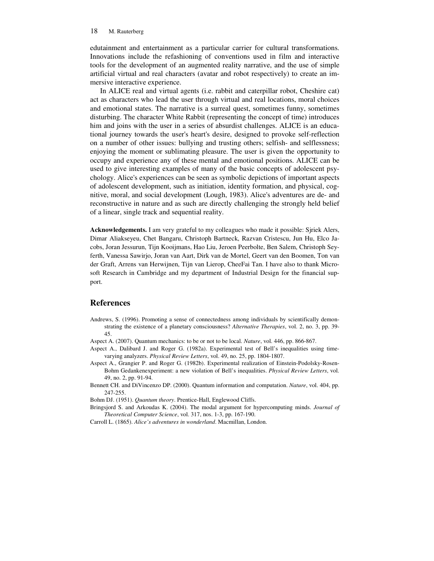edutainment and entertainment as a particular carrier for cultural transformations. Innovations include the refashioning of conventions used in film and interactive tools for the development of an augmented reality narrative, and the use of simple artificial virtual and real characters (avatar and robot respectively) to create an immersive interactive experience.

In ALICE real and virtual agents (i.e. rabbit and caterpillar robot, Cheshire cat) act as characters who lead the user through virtual and real locations, moral choices and emotional states. The narrative is a surreal quest, sometimes funny, sometimes disturbing. The character White Rabbit (representing the concept of time) introduces him and joins with the user in a series of absurdist challenges. ALICE is an educational journey towards the user's heart's desire, designed to provoke self-reflection on a number of other issues: bullying and trusting others; selfish- and selflessness; enjoying the moment or sublimating pleasure. The user is given the opportunity to occupy and experience any of these mental and emotional positions. ALICE can be used to give interesting examples of many of the basic concepts of adolescent psychology. Alice's experiences can be seen as symbolic depictions of important aspects of adolescent development, such as initiation, identity formation, and physical, cognitive, moral, and social development (Lough, 1983). Alice's adventures are de- and reconstructive in nature and as such are directly challenging the strongly held belief of a linear, single track and sequential reality.

**Acknowledgements.** I am very grateful to my colleagues who made it possible: Sjriek Alers, Dimar Aliakseyeu, Chet Bangaru, Christoph Bartneck, Razvan Cristescu, Jun Hu, Elco Jacobs, Joran Jessurun, Tijn Kooijmans, Hao Liu, Jeroen Peerbolte, Ben Salem, Christoph Seyferth, Vanessa Sawirjo, Joran van Aart, Dirk van de Mortel, Geert van den Boomen, Ton van der Graft, Arrens van Herwijnen, Tijn van Lierop, CheeFai Tan. I have also to thank Microsoft Research in Cambridge and my department of Industrial Design for the financial support.

## **References**

- Andrews, S. (1996). Promoting a sense of connectedness among individuals by scientifically demonstrating the existence of a planetary consciousness? *Alternative Therapies*, vol. 2, no. 3, pp. 39- 45.
- Aspect A. (2007). Quantum mechanics: to be or not to be local. *Nature*, vol. 446, pp. 866-867.
- Aspect A., Dalibard J. and Roger G. (1982a). Experimental test of Bell's inequalities using timevarying analyzers. *Physical Review Letters*, vol. 49, no. 25, pp. 1804-1807.
- Aspect A., Grangier P. and Roger G. (1982b). Experimental realization of Einstein-Podolsky-Rosen-Bohm Gedankenexperiment: a new violation of Bell's inequalities. *Physical Review Letters*, vol. 49, no. 2, pp. 91-94.
- Bennett CH. and DiVincenzo DP. (2000). Quantum information and computation. *Nature*, vol. 404, pp. 247-255.
- Bohm DJ. (1951). *Quantum theory*. Prentice-Hall, Englewood Cliffs.
- Bringsjord S. and Arkoudas K. (2004). The modal argument for hypercomputing minds. *Journal of Theoretical Computer Science*, vol. 317, nos. 1-3, pp. 167-190.
- Carroll L. (1865). *Alice's adventures in wonderland*. Macmillan, London.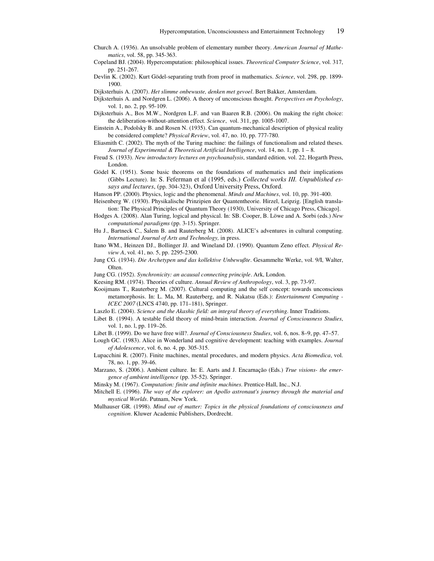- Church A. (1936). An unsolvable problem of elementary number theory. *American Journal of Mathematics*, vol. 58, pp. 345-363.
- Copeland BJ. (2004). Hypercomputation: philosophical issues. *Theoretical Computer Science*, vol. 317, pp. 251-267.
- Devlin K. (2002). Kurt Gödel-separating truth from proof in mathematics. *Science*, vol. 298, pp. 1899- 1900.
- Dijksterhuis A. (2007). *Het slimme onbewuste, denken met gevoel*. Bert Bakker, Amsterdam.
- Dijksterhuis A. and Nordgren L. (2006). A theory of unconscious thought. *Perspectives on Psychology*, vol. 1, no. 2, pp. 95-109.
- Dijksterhuis A., Bos M.W., Nordgren L.F. and van Baaren R.B. (2006). On making the right choice: the deliberation-without-attention effect. *Science*, vol. 311, pp. 1005-1007.
- Einstein A., Podolsky B. and Rosen N. (1935). Can quantum-mechanical description of physical reality be considered complete? *Physical Review*, vol. 47, no. 10, pp. 777-780.
- Eliasmith C. (2002). The myth of the Turing machine: the failings of functionalism and related theses. *Journal of Experimental & Theoretical Artificial Intelligence*, vol. 14, no. 1, pp. 1 – 8.
- Freud S. (1933). *New introductory lectures on psychoanalysis*, standard edition, vol. 22, Hogarth Press, London.
- Gödel K. (1951). Some basic theorems on the foundations of mathematics and their implications (Gibbs Lecture). In: S. Feferman et al (1995, eds.) *Collected works III. Unpublished essays and lectures*, (pp. 304-323), Oxford University Press, Oxford.
- Hanson PP. (2000). Physics, logic and the phenomenal. *Minds and Machines*, vol. 10, pp. 391-400.
- Heisenberg W. (1930). Physikalische Prinzipien der Quantentheorie. Hirzel, Leipzig. [English translation: The Physical Principles of Quantum Theory (1930), University of Chicago Press, Chicago].
- Hodges A. (2008). Alan Turing, logical and physical. In: SB. Cooper, B. Löwe and A. Sorbi (eds.) *New computational paradigms* (pp. 3-15). Springer.
- Hu J., Bartneck C., Salem B. and Rauterberg M. (2008). ALICE's adventures in cultural computing. *International Journal of Arts and Technology,* in press.
- Itano WM., Heinzen DJ., Bollinger JJ. and Wineland DJ. (1990). Quantum Zeno effect. *Physical Review A*, vol. 41, no. 5, pp. 2295-2300.
- Jung CG. (1934). *Die Archetypen und das kollektive Unbewußte*. Gesammelte Werke, vol. 9/I, Walter, Olten.
- Jung CG. (1952). *Synchronicity: an acausal connecting principle*. Ark, London.
- Keesing RM. (1974). Theories of culture. *Annual Review of Anthropology*, vol. 3, pp. 73-97.
- Kooijmans T., Rauterberg M. (2007). Cultural computing and the self concept: towards unconscious metamorphosis. In: L. Ma, M. Rauterberg, and R. Nakatsu (Eds.): *Entertainment Computing - ICEC 2007* (LNCS 4740, pp. 171–181), Springer.
- Laszlo E. (2004). *Science and the Akashic field: an integral theory of everything*. Inner Traditions.
- Libet B. (1994). A testable field theory of mind-brain interaction. *Journal of Consciousness Studies*, vol. 1, no. l, pp. 119–26.
- Libet B. (1999). Do we have free will?. *Journal of Consciousness Studies*, vol. 6, nos. 8–9, pp. 47–57.
- Lough GC. (1983). Alice in Wonderland and cognitive development: teaching with examples. *Journal of Adolescence*, vol. 6, no. 4, pp. 305-315.
- Lupacchini R. (2007). Finite machines, mental procedures, and modern physics. *Acta Biomedica*, vol. 78, no. 1, pp. 39-46.
- Marzano, S. (2006.). Ambient culture. In: E. Aarts and J. Encarnação (Eds.) *True visions- the emergence of ambient intelligence* (pp. 35-52). Springer.
- Minsky M. (1967). *Computation: finite and infinite machines.* Prentice-Hall, Inc., N.J.
- Mitchell E. (1996). *The way of the explorer: an Apollo astronaut's journey through the material and mystical Worlds*. Putnam, New York.
- Mulhauser GR. (1998). *Mind out of matter: Topics in the physical foundations of consciousness and cognition*. Kluwer Academic Publishers, Dordrecht.